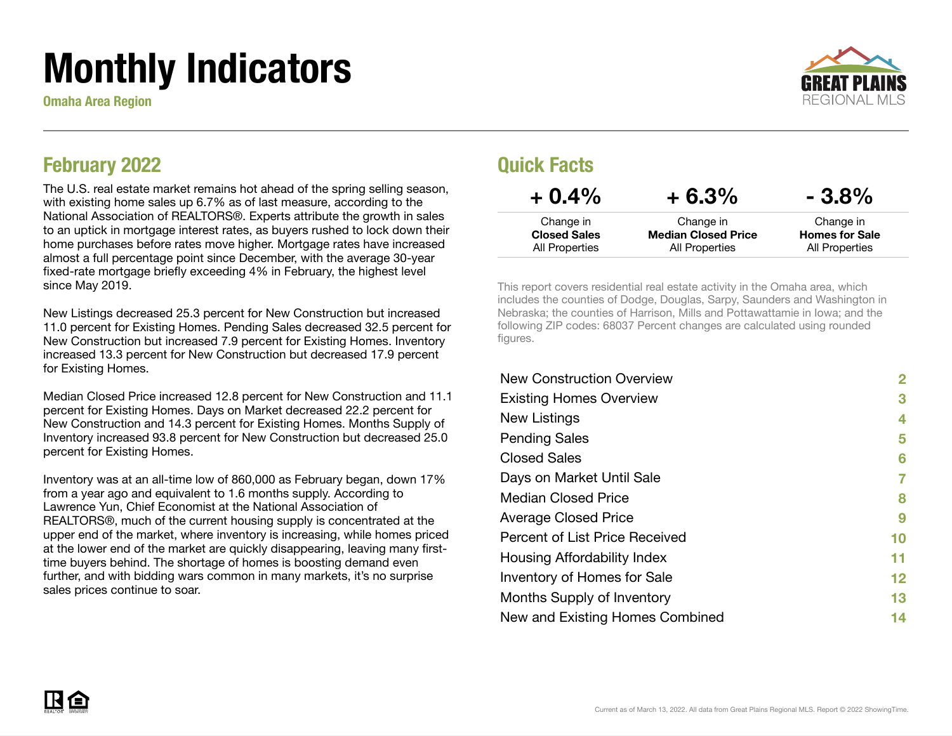# Monthly Indicators

Omaha Area Region



### February 2022

The U.S. real estate market remains hot ahead of the spring selling season, with existing home sales up 6.7% as of last measure, according to the National Association of REALTORS®. Experts attribute the growth in sales to an uptick in mortgage interest rates, as buyers rushed to lock down their home purchases before rates move higher. Mortgage rates have increased almost a full percentage point since December, with the average 30-year fixed-rate mortgage briefly exceeding 4% in February, the highest level since May 2019.

New Listings decreased 25.3 percent for New Construction but increased 11.0 percent for Existing Homes. Pending Sales decreased 32.5 percent for New Construction but increased 7.9 percent for Existing Homes. Inventory increased 13.3 percent for New Construction but decreased 17.9 percent for Existing Homes.

Median Closed Price increased 12.8 percent for New Construction and 11.1 percent for Existing Homes. Days on Market decreased 22.2 percent for New Construction and 14.3 percent for Existing Homes. Months Supply of Inventory increased 93.8 percent for New Construction but decreased 25.0 percent for Existing Homes.

Inventory was at an all-time low of 860,000 as February began, down 17% from a year ago and equivalent to 1.6 months supply. According to Lawrence Yun, Chief Economist at the National Association of REALTORS®, much of the current housing supply is concentrated at the upper end of the market, where inventory is increasing, while homes priced at the lower end of the market are quickly disappearing, leaving many firsttime buyers behind. The shortage of homes is boosting demand even further, and with bidding wars common in many markets, it's no surprise sales prices continue to soar.

### Quick Facts

| $+0.4\%$            | $+6.3%$                    | $-3.8\%$              |
|---------------------|----------------------------|-----------------------|
| Change in           | Change in                  | Change in             |
| <b>Closed Sales</b> | <b>Median Closed Price</b> | <b>Homes for Sale</b> |
| All Properties      | All Properties             | All Properties        |

This report covers residential real estate activity in the Omaha area, which includes the counties of Dodge, Douglas, Sarpy, Saunders and Washington in Nebraska; the counties of Harrison, Mills and Pottawattamie in Iowa; and the following ZIP codes: 68037 Percent changes are calculated using rounded figures.

| <b>New Construction Overview</b> | $\mathbf{2}$    |
|----------------------------------|-----------------|
| <b>Existing Homes Overview</b>   | 3               |
| New Listings                     | 4               |
| <b>Pending Sales</b>             | 5               |
| <b>Closed Sales</b>              | 6               |
| Days on Market Until Sale        | 7               |
| <b>Median Closed Price</b>       | 8               |
| <b>Average Closed Price</b>      | 9               |
| Percent of List Price Received   | 10              |
| Housing Affordability Index      | 11              |
| Inventory of Homes for Sale      | 12 <sub>2</sub> |
| Months Supply of Inventory       | 13              |
| New and Existing Homes Combined  | 14              |

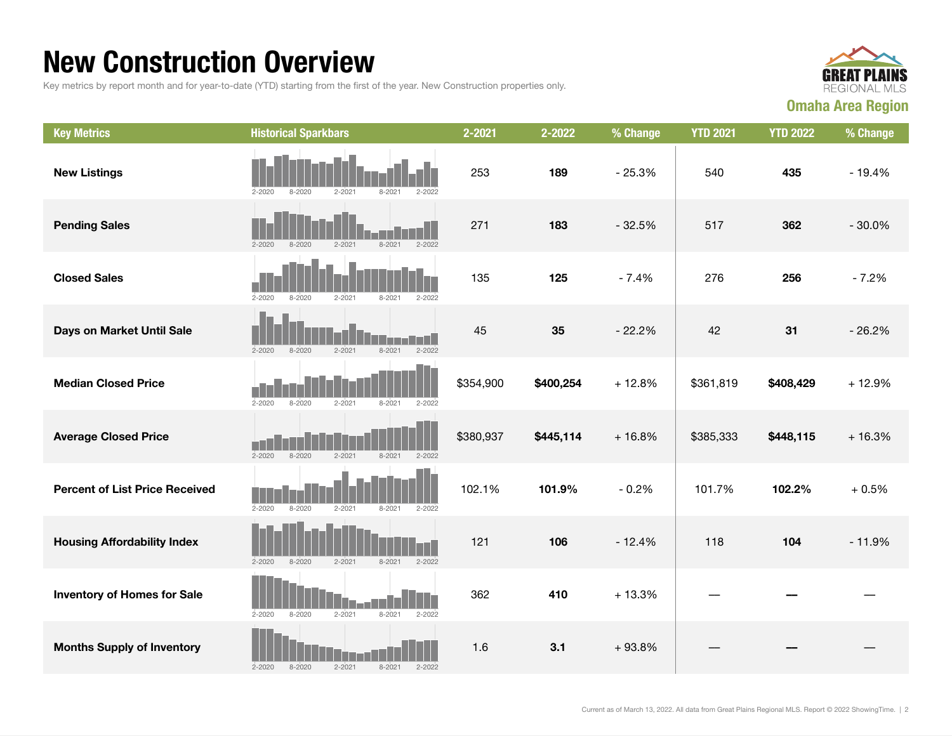### New Construction Overview

Key metrics by report month and for year-to-date (YTD) starting from the first of the year. New Construction properties only.



| <b>Key Metrics</b>                    | <b>Historical Sparkbars</b>                                        | 2-2021    | 2-2022    | % Change | <b>YTD 2021</b> | <b>YTD 2022</b> | % Change |
|---------------------------------------|--------------------------------------------------------------------|-----------|-----------|----------|-----------------|-----------------|----------|
| <b>New Listings</b>                   | $2 - 2020$<br>$8 - 2020$<br>$2 - 2021$<br>$2 - 2022$<br>$8 - 202$  | 253       | 189       | $-25.3%$ | 540             | 435             | $-19.4%$ |
| <b>Pending Sales</b>                  | $2 - 2021$<br>$2 - 2020$<br>$8 - 2020$<br>$8 - 2021$<br>$2 - 2022$ | 271       | 183       | $-32.5%$ | 517             | 362             | $-30.0%$ |
| <b>Closed Sales</b>                   | $2 - 2020$<br>$8 - 2020$<br>$2 - 2021$<br>$8 - 2021$<br>$2 - 2022$ | 135       | 125       | $-7.4%$  | 276             | 256             | $-7.2%$  |
| Days on Market Until Sale             | $8 - 2021$<br>$2 - 2022$<br>$2 - 2020$<br>$8 - 2020$<br>$2 - 2021$ | 45        | 35        | $-22.2%$ | 42              | 31              | $-26.2%$ |
| <b>Median Closed Price</b>            | $2 - 2020$<br>$8 - 2020$<br>$2 - 2021$<br>$8 - 2021$<br>$2 - 2022$ | \$354,900 | \$400,254 | $+12.8%$ | \$361,819       | \$408,429       | $+12.9%$ |
| <b>Average Closed Price</b>           | $2 - 2020$<br>$8 - 2020$<br>$2 - 2021$<br>$8 - 2021$<br>$2 - 2022$ | \$380,937 | \$445,114 | $+16.8%$ | \$385,333       | \$448,115       | $+16.3%$ |
| <b>Percent of List Price Received</b> | $2 - 2020$<br>$8 - 2020$<br>$2 - 2021$<br>$8 - 2021$<br>$2 - 2022$ | 102.1%    | 101.9%    | $-0.2%$  | 101.7%          | 102.2%          | $+0.5%$  |
| <b>Housing Affordability Index</b>    | $2 - 2020$<br>$8 - 2020$<br>$2 - 2021$<br>$8 - 2021$<br>$2 - 2022$ | 121       | 106       | $-12.4%$ | 118             | 104             | $-11.9%$ |
| <b>Inventory of Homes for Sale</b>    | $2 - 2020$<br>$8 - 2020$<br>$2 - 2021$<br>$8 - 2021$<br>$2 - 2022$ | 362       | 410       | $+13.3%$ |                 |                 |          |
| <b>Months Supply of Inventory</b>     | $2 - 2020$<br>$8 - 2020$<br>$2 - 2021$<br>$2 - 2022$<br>$8 - 2021$ | 1.6       | 3.1       | $+93.8%$ |                 |                 |          |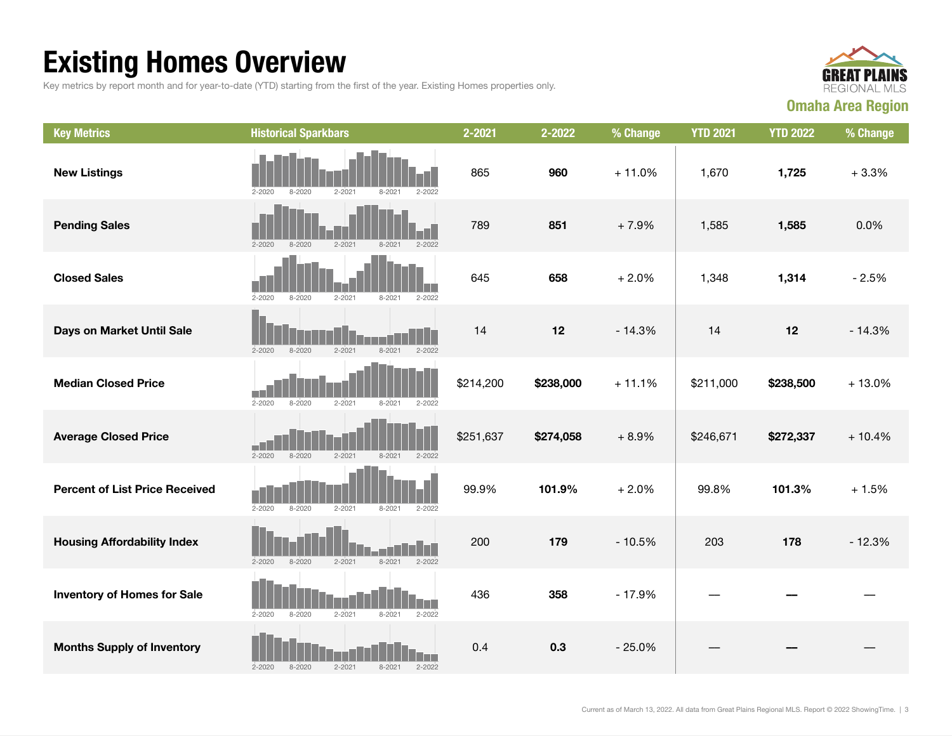## Existing Homes Overview

Key metrics by report month and for year-to-date (YTD) starting from the first of the year. Existing Homes properties only.



| <b>Key Metrics</b>                    | <b>Historical Sparkbars</b>                                        | 2-2021    | 2-2022    | % Change | <b>YTD 2021</b> | <b>YTD 2022</b> | % Change |
|---------------------------------------|--------------------------------------------------------------------|-----------|-----------|----------|-----------------|-----------------|----------|
| <b>New Listings</b>                   | $2 - 2020$<br>$8 - 2020$<br>$2 - 2021$<br>$8 - 2021$<br>$2 - 2022$ | 865       | 960       | $+11.0%$ | 1,670           | 1,725           | $+3.3%$  |
| <b>Pending Sales</b>                  | $2 - 2021$<br>$2 - 2022$<br>$2 - 2020$<br>$8 - 2020$<br>$8 - 2021$ | 789       | 851       | $+7.9%$  | 1,585           | 1,585           | 0.0%     |
| <b>Closed Sales</b>                   | $2 - 2020$<br>$8 - 2020$<br>$2 - 2021$<br>$8 - 2021$<br>$2 - 2022$ | 645       | 658       | $+2.0%$  | 1,348           | 1,314           | $-2.5%$  |
| Days on Market Until Sale             | $8 - 2020$<br>$2 - 2021$<br>$8 - 2021$<br>$2 - 2022$<br>$2 - 2020$ | 14        | 12        | $-14.3%$ | 14              | 12              | $-14.3%$ |
| <b>Median Closed Price</b>            | $2 - 2020$<br>$2 - 2021$<br>$8 - 2021$<br>$2 - 2022$<br>8-2020     | \$214,200 | \$238,000 | $+11.1%$ | \$211,000       | \$238,500       | $+13.0%$ |
| <b>Average Closed Price</b>           | $2 - 2020$<br>$8 - 2020$<br>$2 - 2021$<br>$8 - 2021$<br>$2 - 2022$ | \$251,637 | \$274,058 | $+8.9%$  | \$246,671       | \$272,337       | $+10.4%$ |
| <b>Percent of List Price Received</b> | $2 - 2020$<br>$8 - 2020$<br>$2 - 2021$<br>$8 - 2021$<br>$2 - 2022$ | 99.9%     | 101.9%    | $+2.0%$  | 99.8%           | 101.3%          | $+1.5%$  |
| <b>Housing Affordability Index</b>    | $2 - 2020$<br>$8 - 2020$<br>$2 - 2021$<br>$8 - 2021$<br>$2 - 2022$ | 200       | 179       | $-10.5%$ | 203             | 178             | $-12.3%$ |
| <b>Inventory of Homes for Sale</b>    | $2 - 2021$<br>$2 - 2022$<br>$2 - 2020$<br>$8 - 2020$<br>$8 - 2021$ | 436       | 358       | $-17.9%$ |                 |                 |          |
| <b>Months Supply of Inventory</b>     | $2 - 2020$<br>$8 - 2020$<br>$2 - 2021$<br>$8 - 2021$<br>$2 - 2022$ | 0.4       | 0.3       | $-25.0%$ |                 |                 |          |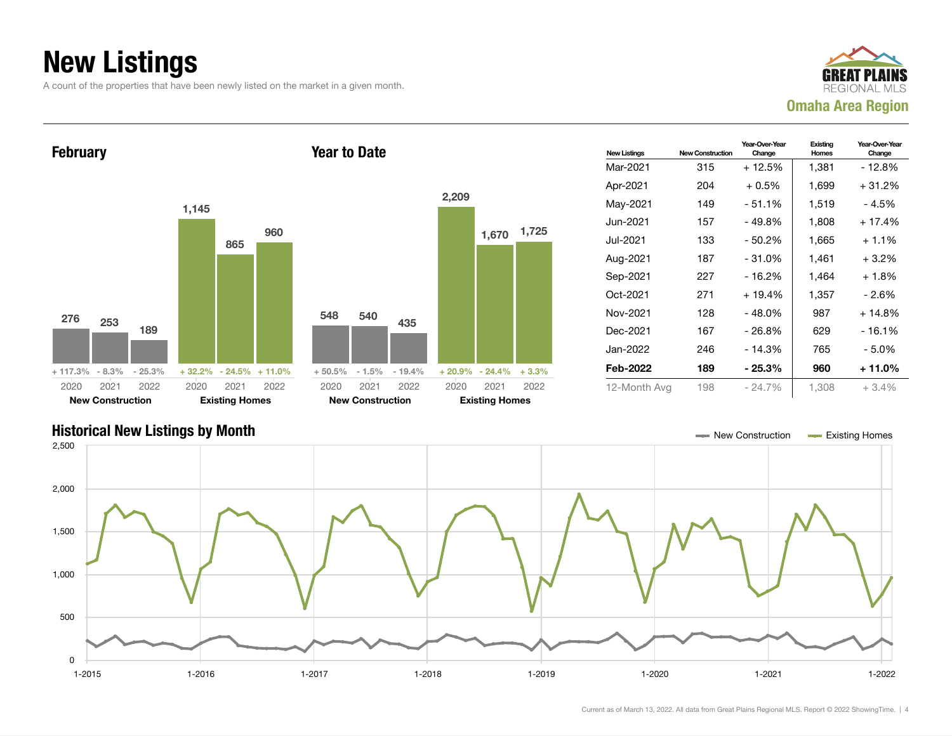### New Listings

A count of the properties that have been newly listed on the market in a given month.





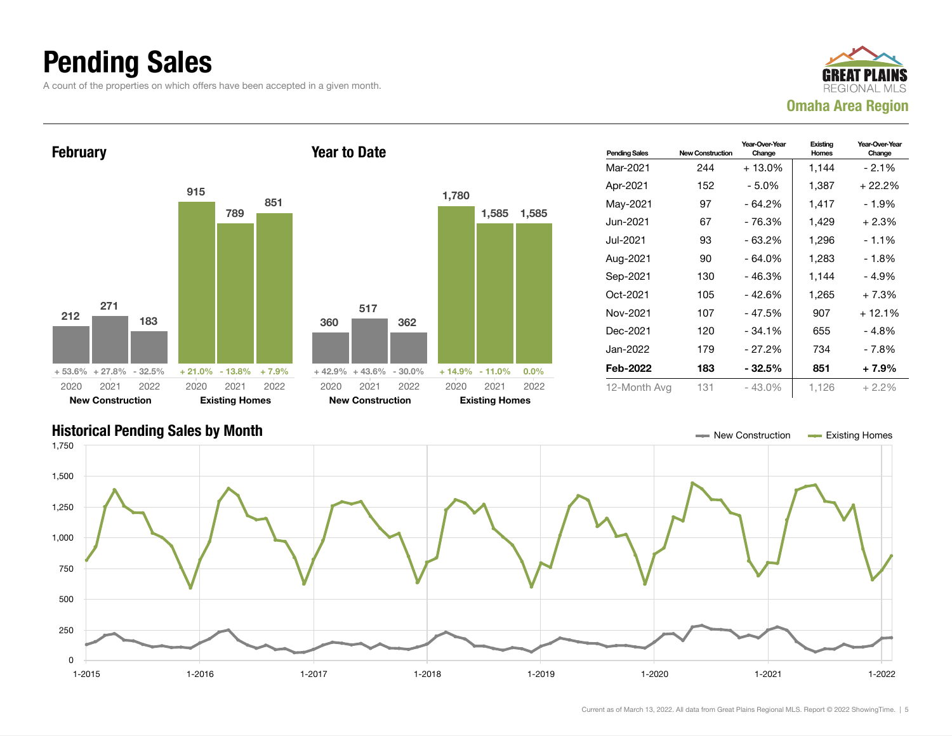### Pending Sales

A count of the properties on which offers have been accepted in a given month.





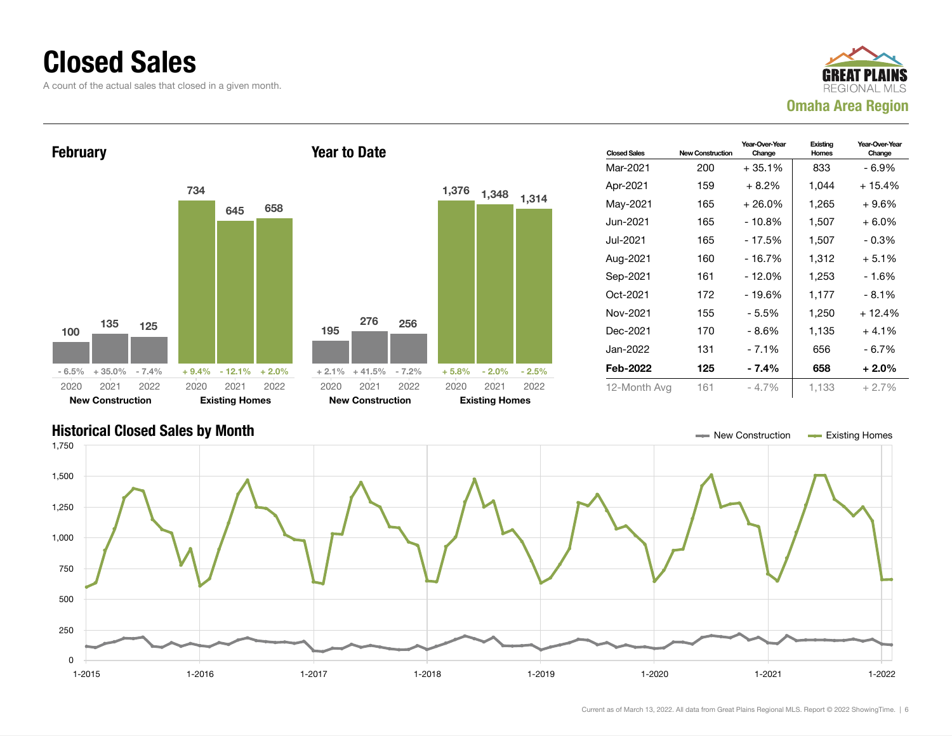### Closed Sales

A count of the actual sales that closed in a given month.





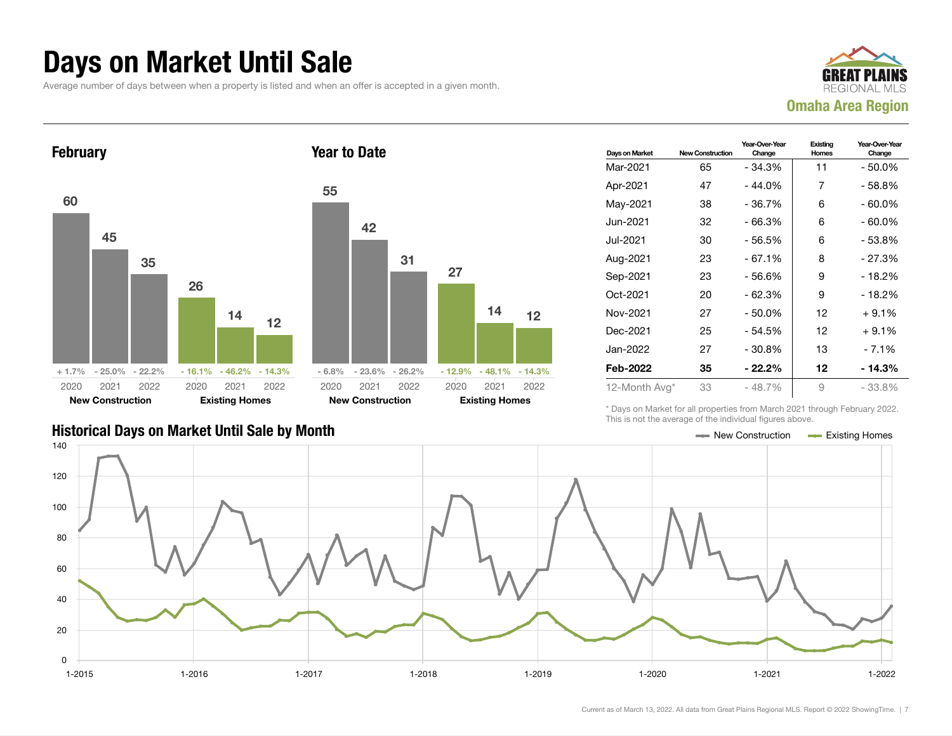### Days on Market Until Sale

Average number of days between when a property is listed and when an offer is accepted in a given month.





| 55   | 42                         |      |      |                             |    |
|------|----------------------------|------|------|-----------------------------|----|
|      |                            | 31   | 27   |                             |    |
|      |                            |      |      | 14                          | 12 |
|      | $-6.8\% - 23.6\% - 26.2\%$ |      |      | $-12.9\% - 48.1\% - 14.3\%$ |    |
| 2020 | 2021                       | 2022 | 2020 | 2021 2022                   |    |
|      | <b>New Construction</b>    |      |      | <b>Existing Homes</b>       |    |

| Days on Market | <b>New Construction</b> | Year-Over-Year<br>Change | Existing<br><b>Homes</b> | Year-Over-Year<br>Change |
|----------------|-------------------------|--------------------------|--------------------------|--------------------------|
| Mar-2021       | 65                      | $-34.3%$                 | 11                       | $-50.0\%$                |
| Apr-2021       | 47                      | $-44.0%$                 | 7                        | - 58.8%                  |
| May-2021       | 38                      | - 36.7%                  | 6                        | - 60.0%                  |
| Jun-2021       | 32                      | $-66.3%$                 | 6                        | $-60.0\%$                |
| Jul-2021       | 30                      | $-56.5%$                 | 6                        | - 53.8%                  |
| Aug-2021       | 23                      | - 67.1%                  | 8                        | - 27.3%                  |
| Sep-2021       | 23                      | $-56.6%$                 | 9                        | - 18.2%                  |
| Oct-2021       | 20                      | - 62.3%                  | 9                        | - 18.2%                  |
| Nov-2021       | 27                      | - 50.0%                  | 12                       | $+9.1%$                  |
| Dec-2021       | 25                      | $-54.5%$                 | 12                       | $+9.1%$                  |
| Jan-2022.      | 27                      | $-30.8\%$                | 13                       | $-7.1\%$                 |
| Feb-2022       | 35                      | - 22.2%                  | 12                       | - 14.3%                  |
| 12-Month Avg*  | 33                      | $-48.7%$                 | 9                        | - 33.8%                  |

\* Days on Market for all properties from March 2021 through February 2022. This is not the average of the individual figures above.



### Historical Days on Market Until Sale by Month New York New York New York Market Until Sale by Month New York New Zonstruction And Existing Homes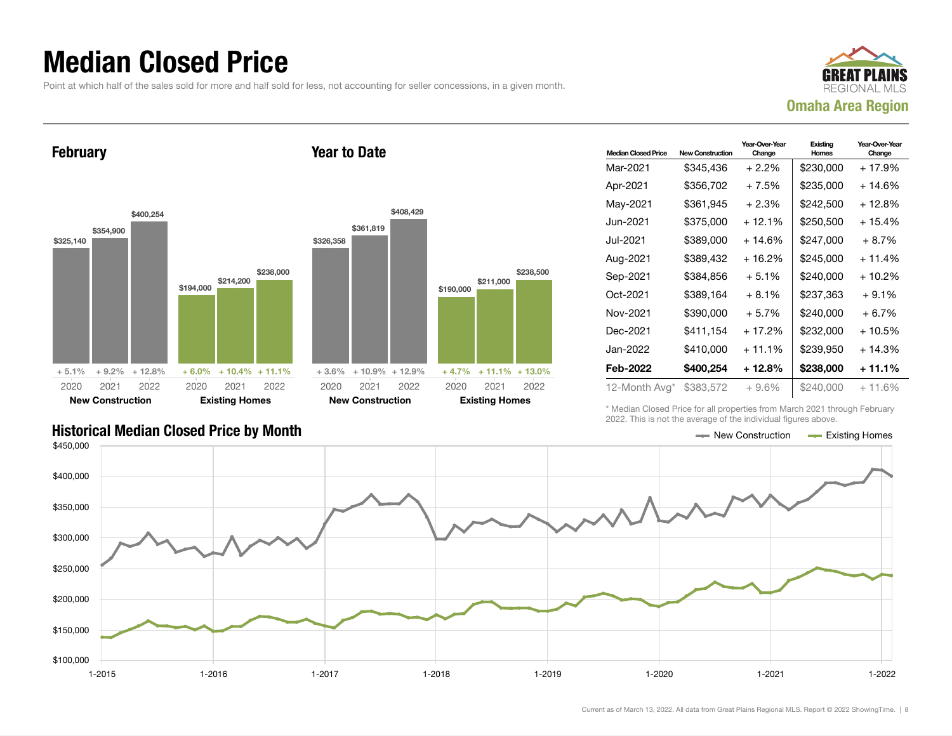### Median Closed Price

Point at which half of the sales sold for more and half sold for less, not accounting for seller concessions, in a given month.



February





|   |           |                         | \$408,429 |           |                            |           |
|---|-----------|-------------------------|-----------|-----------|----------------------------|-----------|
|   |           | \$361,819               |           |           |                            |           |
|   | \$326,358 |                         |           |           |                            |           |
|   |           |                         |           |           |                            |           |
| O |           |                         |           |           |                            | \$238,500 |
|   |           |                         |           | \$190,000 | \$211,000                  |           |
|   |           |                         |           |           |                            |           |
|   |           |                         |           |           |                            |           |
|   |           |                         |           |           |                            |           |
|   |           |                         |           |           |                            |           |
|   |           |                         |           |           |                            |           |
| ℅ | $+3.6\%$  | $+10.9\% + 12.9\%$      |           |           | $+4.7\% + 11.1\% + 13.0\%$ |           |
|   | 2020      | 2021                    | 2022      | 2020      | 2021                       | 2022      |
|   |           | <b>New Construction</b> |           |           | <b>Existing Homes</b>      |           |

| <b>Median Closed Price</b> | <b>New Construction</b> | Year-Over-Year<br>Change | Existing<br><b>Homes</b> | Year-Over-Year<br>Change |
|----------------------------|-------------------------|--------------------------|--------------------------|--------------------------|
| Mar-2021                   | \$345,436               | $+2.2\%$                 | \$230,000                | + 17.9%                  |
| Apr-2021                   | \$356,702               | $+7.5%$                  | \$235,000                | + 14.6%                  |
| May-2021                   | \$361,945               | $+2.3%$                  | \$242,500                | + 12.8%                  |
| Jun-2021.                  | \$375,000               | $+12.1%$                 | \$250,500                | $+15.4%$                 |
| Jul-2021.                  | \$389,000               | $+14.6%$                 | \$247,000                | $+8.7%$                  |
| Aug-2021                   | \$389,432               | $+16.2%$                 | \$245,000                | $+11.4%$                 |
| Sep-2021                   | \$384,856               | $+5.1%$                  | \$240,000                | + 10.2%                  |
| Oct-2021                   | \$389,164               | $+8.1%$                  | \$237,363                | $+9.1%$                  |
| Nov-2021                   | \$390,000               | $+5.7%$                  | \$240,000                | $+6.7%$                  |
| Dec-2021                   | \$411,154               | $+17.2%$                 | \$232,000                | + 10.5%                  |
| Jan-2022.                  | \$410,000               | $+11.1%$                 | \$239,950                | + 14.3%                  |
| Feb-2022                   | \$400,254               | + 12.8%                  | \$238,000                | + 11.1%                  |
| 12-Month Avg*              | \$383,572               | $+9.6\%$                 | \$240,000                | $+11.6%$                 |

\* Median Closed Price for all properties from March 2021 through February 2022. This is not the average of the individual figures above.

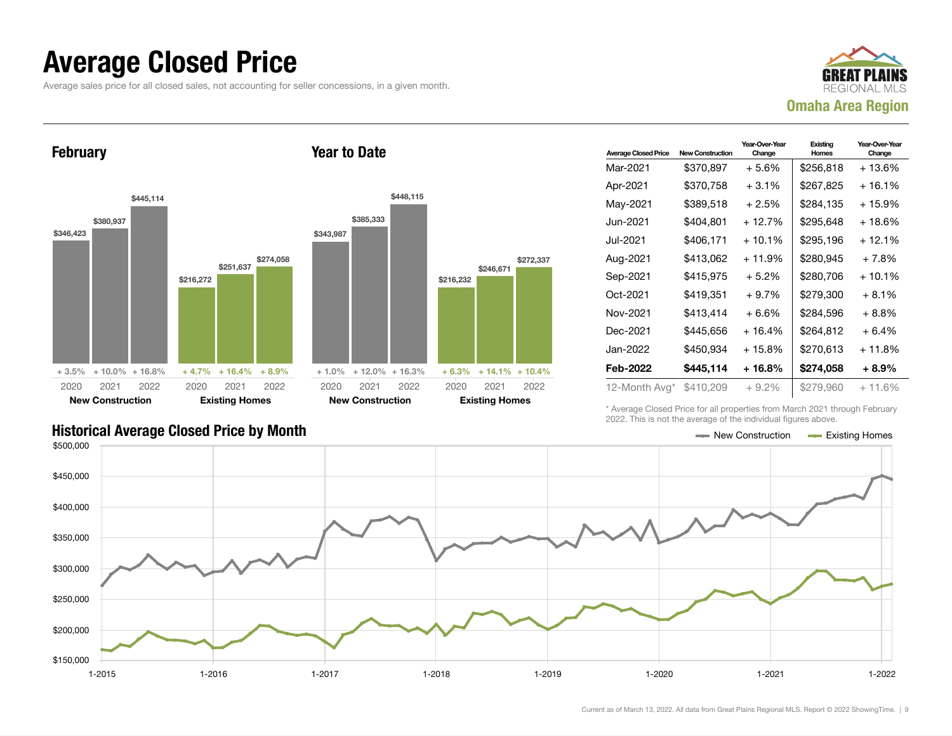### Average Closed Price

Average sales price for all closed sales, not accounting for seller concessions, in a given month.



February



Year to Date

| <b>Average Closed Price</b> | <b>New Construction</b> | Year-Over-Year<br>Change | Existing<br>Homes | Year-Over-Year<br>Change |
|-----------------------------|-------------------------|--------------------------|-------------------|--------------------------|
| Mar-2021                    | \$370,897               | $+5.6%$                  | \$256,818         | $+13.6%$                 |
| Apr-2021                    | \$370,758               | $+3.1\%$                 | \$267,825         | + 16.1%                  |
| May-2021                    | \$389,518               | $+2.5%$                  | \$284,135         | + 15.9%                  |
| Jun-2021 <b>.</b>           | \$404,801               | + 12.7%                  | \$295.648         | + 18.6%                  |
| Jul-2021                    | \$406.171               | $+10.1%$                 | \$295.196         | + 12.1%                  |
| Aug-2021                    | \$413.062               | $+11.9%$                 | \$280.945         | $+7.8%$                  |
| Sep-2021                    | \$415,975               | $+5.2%$                  | \$280,706         | $+10.1%$                 |
| Oct-2021                    | \$419,351               | $+9.7\%$                 | \$279.300         | $+8.1%$                  |
| Nov-2021                    | \$413,414               | + 6.6%                   | \$284.596         | $+8.8\%$                 |
| Dec-2021                    | \$445,656               | $+16.4%$                 | \$264,812         | $+6.4%$                  |
| Jan-2022                    | \$450,934               | + 15.8%                  | \$270,613         | + 11.8%                  |
| Feb-2022                    | \$445,114               | + 16.8%                  | \$274,058         | $+8.9%$                  |
| 12-Month Avg*               | \$410,209               | $+9.2%$                  | \$279,960         | $+11.6%$                 |

\* Average Closed Price for all properties from March 2021 through February 2022. This is not the average of the individual figures above.

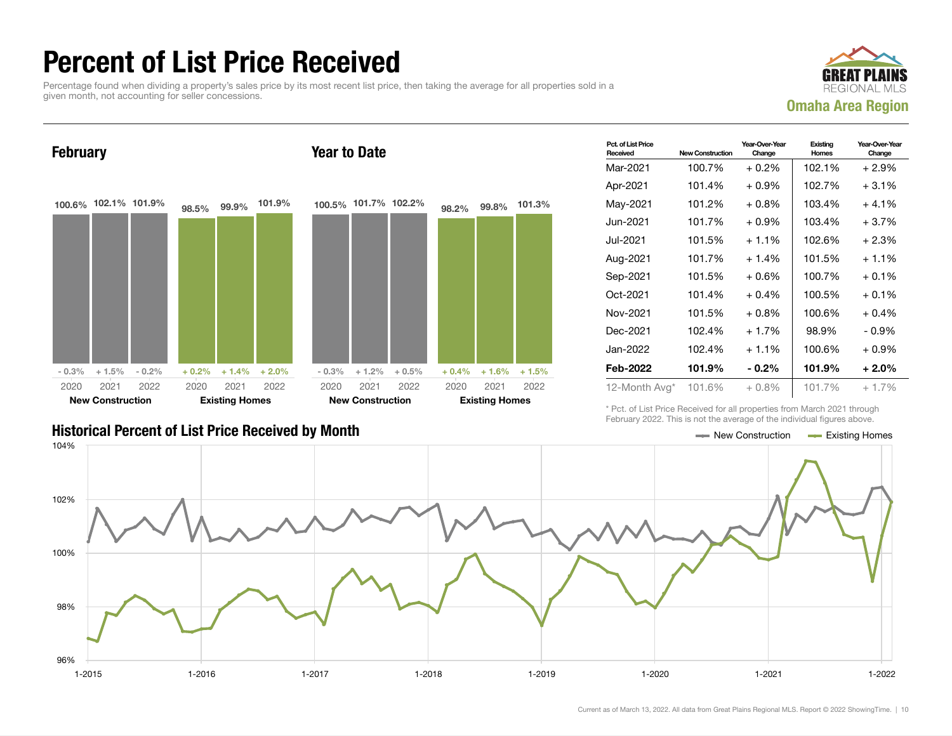### Percent of List Price Received

Percentage found when dividing a property's sales price by its most recent list price, then taking the average for all properties sold in a given month, not accounting for seller concessions.



February 100.6% 102.1% 101.9%  $-0.3\%$   $+1.5\%$   $-0.2\%$ 98.5% 99.9% 101.9%  $+ 0.2\% + 1.4\% + 2.0\%$ 2020 New Construction 2021 2022 2020 Existing Homes 2021 2022 Year to Date 100.5% 101.7% 102.2%  $-0.3\%$  + 1.2% + 0.5% 98.2% 99.8% 101.3%  $+ 0.4\% + 1.6\% + 1.5\%$ 2020 New Construction 2021 2022 2020 Existing Homes 2021 2022

|                                                           | <u>, and not it meets that the attended of the information individual and the </u> |  |
|-----------------------------------------------------------|------------------------------------------------------------------------------------|--|
| <b>Historical Percent of List Price Received by Month</b> | $\equiv$ New Construction $\equiv$ Existing Homes                                  |  |

| Pct. of List Price<br>Received | <b>New Construction</b> | Year-Over-Year<br>Change | Existing<br>Homes | Year-Over-Year<br>Change |
|--------------------------------|-------------------------|--------------------------|-------------------|--------------------------|
| Mar-2021                       | 100.7%                  | $+0.2%$                  | 102.1%            | $+2.9%$                  |
| Apr-2021                       | 101.4%                  | $+0.9%$                  | 102.7%            | $+3.1%$                  |
| May-2021                       | 101.2%                  | $+0.8%$                  | 103.4%            | $+4.1%$                  |
| Jun-2021.                      | 101.7%                  | $+0.9\%$                 | 103.4%            | $+3.7%$                  |
| Jul-2021                       | 101.5%                  | $+1.1\%$                 | 102.6%            | $+2.3%$                  |
| Aug-2021                       | 101.7%                  | $+1.4%$                  | 101.5%            | $+1.1%$                  |
| Sep-2021                       | 101.5%                  | $+0.6%$                  | 100.7%            | $+0.1%$                  |
| Oct-2021                       | 101.4%                  | $+0.4%$                  | 100.5%            | $+0.1\%$                 |
| Nov-2021                       | 101.5%                  | $+0.8%$                  | 100.6%            | $+0.4%$                  |
| Dec-2021                       | 102.4%                  | $+1.7%$                  | 98.9%             | $-0.9\%$                 |
| Jan-2022                       | 102.4%                  | $+1.1\%$                 | 100.6%            | $+0.9\%$                 |
| Feb-2022                       | 101.9%                  | - 0.2%                   | 101.9%            | $+2.0%$                  |
| 12-Month Avg*                  | 101.6%                  | $+0.8\%$                 | 101.7%            | $+1.7%$                  |

\* Pct. of List Price Received for all properties from March 2021 through February 2022. This is not the average of the individual figures above.

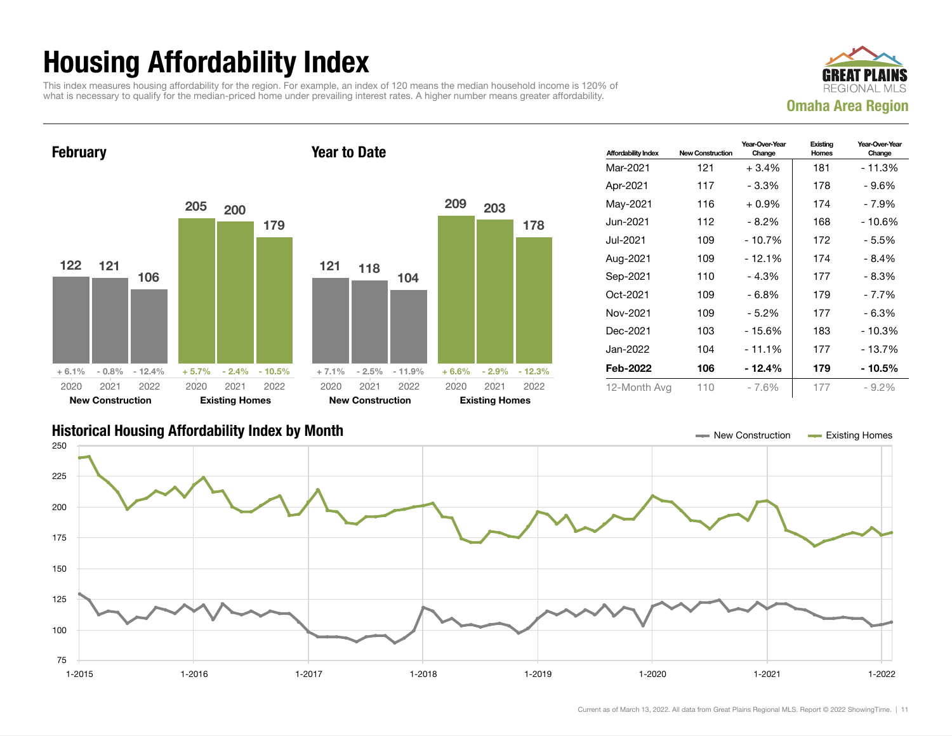## Housing Affordability Index

This index measures housing affordability for the region. For example, an index of 120 means the median household income is 120% of what is necessary to qualify for the median-priced home under prevailing interest rates. A higher number means greater affordability.





| <b>Affordability Index</b> | <b>New Construction</b> | Year-Over-Year<br>Change | Existing<br>Homes | Year-Over-Year<br>Change |
|----------------------------|-------------------------|--------------------------|-------------------|--------------------------|
| Mar-2021                   | 121                     | $+3.4%$                  | 181               | - 11.3%                  |
| Apr-2021                   | 117                     | $-3.3%$                  | 178               | - 9.6%                   |
| May-2021                   | 116                     | $+0.9\%$                 | 174               | - 7.9%                   |
| Jun-2021.                  | 112                     | - 8.2%                   | 168               | - 10.6%                  |
| Jul-2021.                  | 109                     | $-10.7%$                 | 172               | - 5.5%                   |
| Aug-2021                   | 109                     | - 12.1%                  | 174               | - 8.4%                   |
| Sep-2021                   | 110                     | $-4.3%$                  | 177               | $-8.3%$                  |
| Oct-2021                   | 109                     | - 6.8%                   | 179               | - 7.7%                   |
| Nov-2021                   | 109                     | - 5.2%                   | 177               | - 6.3%                   |
| Dec-2021                   | 103                     | $-15.6%$                 | 183               | - 10.3%                  |
| Jan-2022.                  | 104                     | - 11.1%                  | 177               | - 13.7%                  |
| Feb-2022                   | 106                     | - 12.4%                  | 179               | - 10.5%                  |
| 12-Month Avg               | 110                     | $-7.6%$                  | 177               | $-9.2\%$                 |

### Historical Housing Affordability Index by Month New Construction Existing Homes

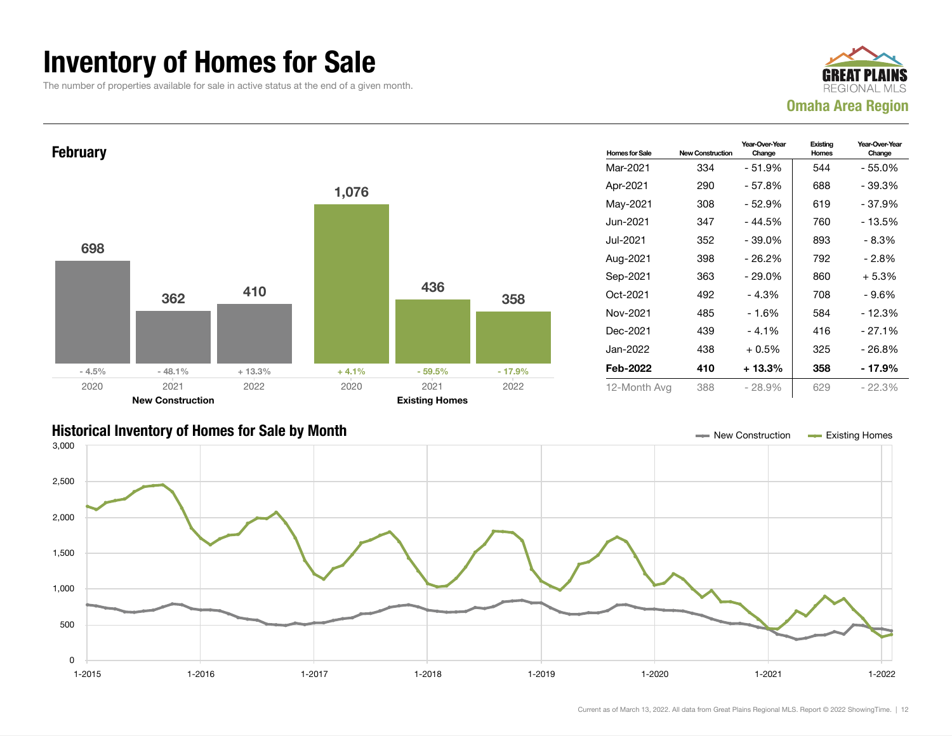### Inventory of Homes for Sale

The number of properties available for sale in active status at the end of a given month.





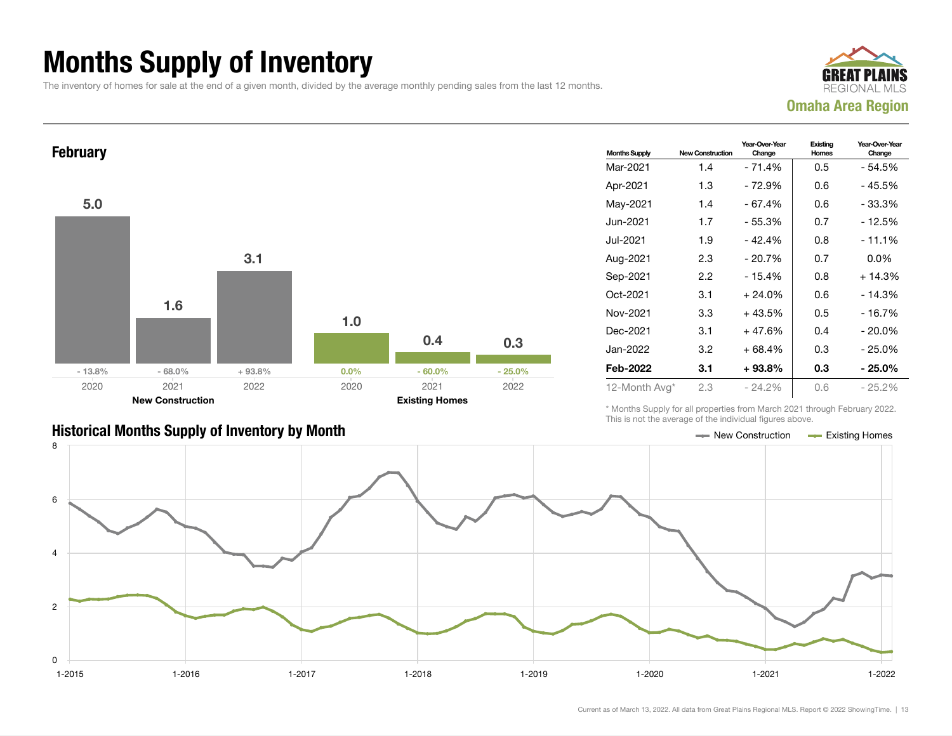## Months Supply of Inventory

The inventory of homes for sale at the end of a given month, divided by the average monthly pending sales from the last 12 months.





### Historical Months Supply of Inventory by Month New Construction Accounts Accounts Accounts Accounts Accounts Accounts Accounts Accounts Accounts Accounts Accounts Accounts Accounts Accounts Accounts Accounts Accounts Accou

| <b>Months Supply</b> | <b>New Construction</b> | Year-Over-Year<br>Change | Existing<br>Homes | Year-Over-Year<br>Change |  |
|----------------------|-------------------------|--------------------------|-------------------|--------------------------|--|
| Mar-2021             | 1.4                     | $-71.4%$                 | 0.5               | - 54.5%                  |  |
| Apr-2021             | 1.3                     | - 72.9%                  | 0.6               | - 45.5%                  |  |
| May-2021             | 1.4                     | $-67.4%$                 | 0.6               | - 33.3%                  |  |
| Jun-2021             | 1.7                     | $-55.3%$                 | 0.7               | - 12.5%                  |  |
| Jul-2021             | 1.9                     | $-42.4%$                 | 0.8               | $-11.1%$                 |  |
| Aug-2021             | 2.3                     | $-20.7%$                 | 0.7               | $0.0\%$                  |  |
| Sep-2021             | 2.2                     | $-15.4%$                 | 0.8               | $+14.3%$                 |  |
| Oct-2021             | 3.1                     | $+24.0%$                 | 0.6               | $-14.3%$                 |  |
| Nov-2021             | 3.3                     | $+43.5%$                 | 0.5               | - 16.7%                  |  |
| Dec-2021             | 3.1                     | $+47.6%$                 | 0.4               | $-20.0\%$                |  |
| Jan-2022             | 3.2                     | $+68.4%$                 | 0.3               | $-25.0%$                 |  |
| Feb-2022             | 3.1                     | $+93.8\%$                | 0.3               | - 25.0%                  |  |
| 12-Month Avg*        | 2.3                     | $-24.2\%$                | 0.6               | $-25.2\%$                |  |

\* Months Supply for all properties from March 2021 through February 2022. This is not the average of the individual figures above.